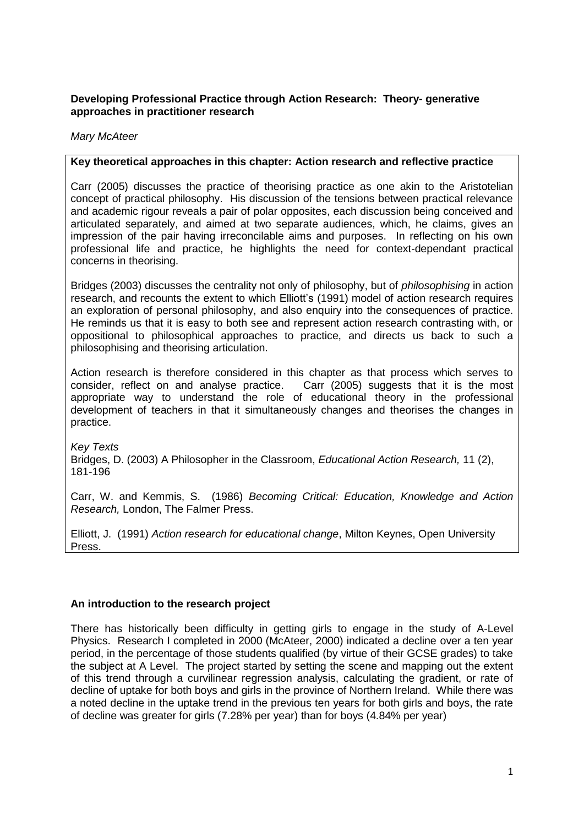# **Developing Professional Practice through Action Research: Theory- generative approaches in practitioner research**

*Mary McAteer*

#### **Key theoretical approaches in this chapter: Action research and reflective practice**

Carr (2005) discusses the practice of theorising practice as one akin to the Aristotelian concept of practical philosophy. His discussion of the tensions between practical relevance and academic rigour reveals a pair of polar opposites, each discussion being conceived and articulated separately, and aimed at two separate audiences, which, he claims, gives an impression of the pair having irreconcilable aims and purposes. In reflecting on his own professional life and practice, he highlights the need for context-dependant practical concerns in theorising.

Bridges (2003) discusses the centrality not only of philosophy, but of *philosophising* in action research, and recounts the extent to which Elliott's (1991) model of action research requires an exploration of personal philosophy, and also enquiry into the consequences of practice. He reminds us that it is easy to both see and represent action research contrasting with, or oppositional to philosophical approaches to practice, and directs us back to such a philosophising and theorising articulation.

Action research is therefore considered in this chapter as that process which serves to consider, reflect on and analyse practice. Carr (2005) suggests that it is the most appropriate way to understand the role of educational theory in the professional development of teachers in that it simultaneously changes and theorises the changes in practice.

*Key Texts* Bridges, D. (2003) A Philosopher in the Classroom, *Educational Action Research,* 11 (2), 181-196

Carr, W. and Kemmis, S. (1986) *Becoming Critical: Education, Knowledge and Action Research,* London, The Falmer Press.

Elliott, J. (1991) *Action research for educational change*, Milton Keynes, Open University Press.

## **An introduction to the research project**

There has historically been difficulty in getting girls to engage in the study of A-Level Physics. Research I completed in 2000 (McAteer, 2000) indicated a decline over a ten year period, in the percentage of those students qualified (by virtue of their GCSE grades) to take the subject at A Level. The project started by setting the scene and mapping out the extent of this trend through a curvilinear regression analysis, calculating the gradient, or rate of decline of uptake for both boys and girls in the province of Northern Ireland. While there was a noted decline in the uptake trend in the previous ten years for both girls and boys, the rate of decline was greater for girls (7.28% per year) than for boys (4.84% per year)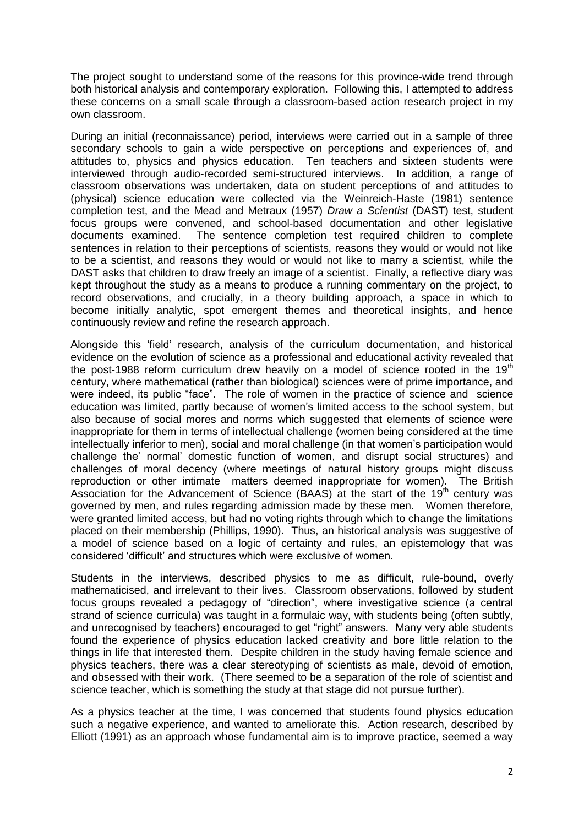The project sought to understand some of the reasons for this province-wide trend through both historical analysis and contemporary exploration. Following this, I attempted to address these concerns on a small scale through a classroom-based action research project in my own classroom.

During an initial (reconnaissance) period, interviews were carried out in a sample of three secondary schools to gain a wide perspective on perceptions and experiences of, and attitudes to, physics and physics education. Ten teachers and sixteen students were interviewed through audio-recorded semi-structured interviews. In addition, a range of classroom observations was undertaken, data on student perceptions of and attitudes to (physical) science education were collected via the Weinreich-Haste (1981) sentence completion test, and the Mead and Metraux (1957) *Draw a Scientist* (DAST) test, student focus groups were convened, and school-based documentation and other legislative documents examined. The sentence completion test required children to complete sentences in relation to their perceptions of scientists, reasons they would or would not like to be a scientist, and reasons they would or would not like to marry a scientist, while the DAST asks that children to draw freely an image of a scientist. Finally, a reflective diary was kept throughout the study as a means to produce a running commentary on the project, to record observations, and crucially, in a theory building approach, a space in which to become initially analytic, spot emergent themes and theoretical insights, and hence continuously review and refine the research approach.

Alongside this 'field' research, analysis of the curriculum documentation, and historical evidence on the evolution of science as a professional and educational activity revealed that the post-1988 reform curriculum drew heavily on a model of science rooted in the  $19<sup>th</sup>$ century, where mathematical (rather than biological) sciences were of prime importance, and were indeed, its public "face". The role of women in the practice of science and science education was limited, partly because of women's limited access to the school system, but also because of social mores and norms which suggested that elements of science were inappropriate for them in terms of intellectual challenge (women being considered at the time intellectually inferior to men), social and moral challenge (in that women's participation would challenge the' normal' domestic function of women, and disrupt social structures) and challenges of moral decency (where meetings of natural history groups might discuss reproduction or other intimate matters deemed inappropriate for women). The British Association for the Advancement of Science (BAAS) at the start of the  $19<sup>th</sup>$  century was governed by men, and rules regarding admission made by these men. Women therefore, were granted limited access, but had no voting rights through which to change the limitations placed on their membership (Phillips, 1990). Thus, an historical analysis was suggestive of a model of science based on a logic of certainty and rules, an epistemology that was considered 'difficult' and structures which were exclusive of women.

Students in the interviews, described physics to me as difficult, rule-bound, overly mathematicised, and irrelevant to their lives. Classroom observations, followed by student focus groups revealed a pedagogy of "direction", where investigative science (a central strand of science curricula) was taught in a formulaic way, with students being (often subtly, and unrecognised by teachers) encouraged to get "right" answers. Many very able students found the experience of physics education lacked creativity and bore little relation to the things in life that interested them. Despite children in the study having female science and physics teachers, there was a clear stereotyping of scientists as male, devoid of emotion, and obsessed with their work. (There seemed to be a separation of the role of scientist and science teacher, which is something the study at that stage did not pursue further).

As a physics teacher at the time, I was concerned that students found physics education such a negative experience, and wanted to ameliorate this. Action research, described by Elliott (1991) as an approach whose fundamental aim is to improve practice, seemed a way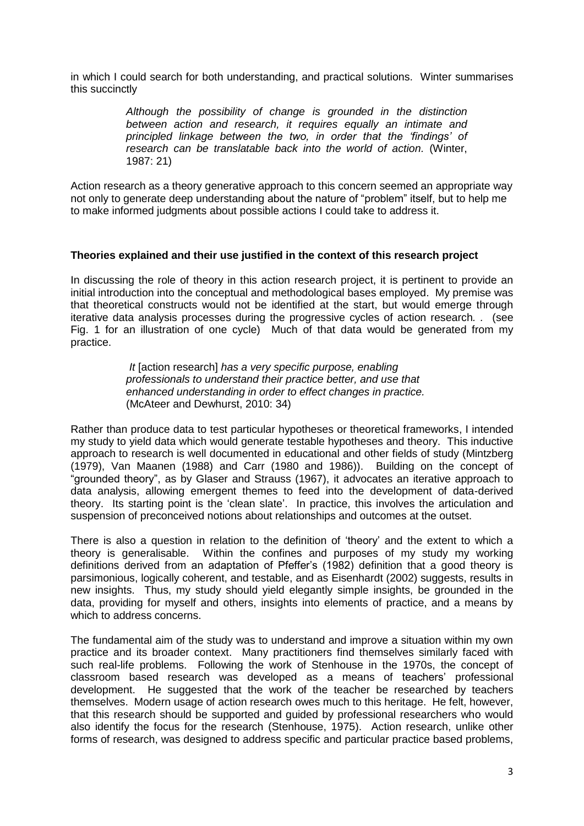in which I could search for both understanding, and practical solutions. Winter summarises this succinctly

> *Although the possibility of change is grounded in the distinction between action and research, it requires equally an intimate and principled linkage between the two, in order that the 'findings' of research can be translatable back into the world of action.* (Winter, 1987: 21)

Action research as a theory generative approach to this concern seemed an appropriate way not only to generate deep understanding about the nature of "problem" itself, but to help me to make informed judgments about possible actions I could take to address it.

#### **Theories explained and their use justified in the context of this research project**

In discussing the role of theory in this action research project, it is pertinent to provide an initial introduction into the conceptual and methodological bases employed. My premise was that theoretical constructs would not be identified at the start, but would emerge through iterative data analysis processes during the progressive cycles of action research*. .* (see Fig. 1 for an illustration of one cycle) Much of that data would be generated from my practice.

> *It* [action research] *has a very specific purpose, enabling professionals to understand their practice better, and use that enhanced understanding in order to effect changes in practice.* (McAteer and Dewhurst, 2010: 34)

Rather than produce data to test particular hypotheses or theoretical frameworks, I intended my study to yield data which would generate testable hypotheses and theory. This inductive approach to research is well documented in educational and other fields of study (Mintzberg (1979), Van Maanen (1988) and Carr (1980 and 1986)). Building on the concept of "grounded theory", as by Glaser and Strauss (1967), it advocates an iterative approach to data analysis, allowing emergent themes to feed into the development of data-derived theory. Its starting point is the 'clean slate'. In practice, this involves the articulation and suspension of preconceived notions about relationships and outcomes at the outset.

There is also a question in relation to the definition of 'theory' and the extent to which a theory is generalisable. Within the confines and purposes of my study my working definitions derived from an adaptation of Pfeffer's (1982) definition that a good theory is parsimonious, logically coherent, and testable, and as Eisenhardt (2002) suggests, results in new insights. Thus, my study should yield elegantly simple insights, be grounded in the data, providing for myself and others, insights into elements of practice, and a means by which to address concerns.

The fundamental aim of the study was to understand and improve a situation within my own practice and its broader context. Many practitioners find themselves similarly faced with such real-life problems. Following the work of Stenhouse in the 1970s, the concept of classroom based research was developed as a means of teachers' professional development. He suggested that the work of the teacher be researched by teachers themselves. Modern usage of action research owes much to this heritage. He felt, however, that this research should be supported and guided by professional researchers who would also identify the focus for the research (Stenhouse, 1975). Action research, unlike other forms of research, was designed to address specific and particular practice based problems,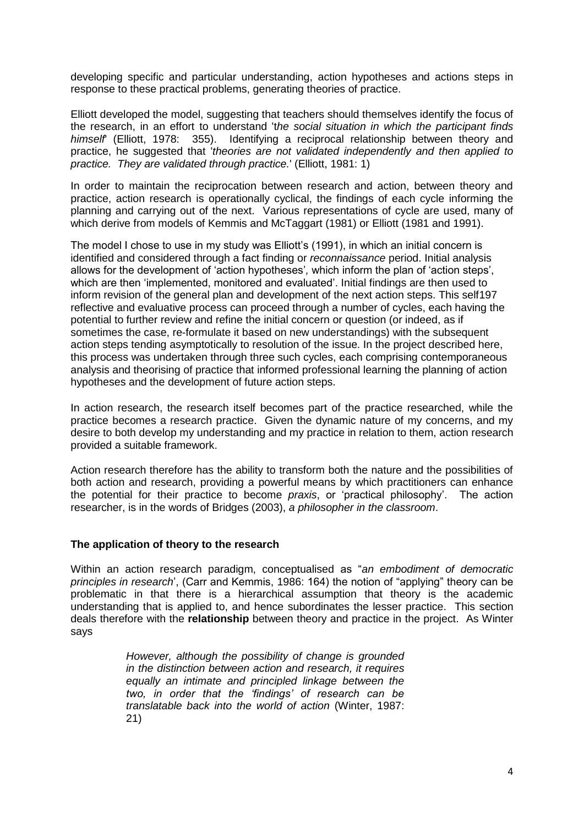developing specific and particular understanding, action hypotheses and actions steps in response to these practical problems, generating theories of practice.

Elliott developed the model, suggesting that teachers should themselves identify the focus of the research, in an effort to understand 't*he social situation in which the participant finds himself*' (Elliott, 1978: 355). Identifying a reciprocal relationship between theory and practice, he suggested that '*theories are not validated independently and then applied to practice. They are validated through practice.*' (Elliott, 1981: 1)

In order to maintain the reciprocation between research and action, between theory and practice, action research is operationally cyclical, the findings of each cycle informing the planning and carrying out of the next. Various representations of cycle are used, many of which derive from models of Kemmis and McTaggart (1981) or Elliott (1981 and 1991).

The model I chose to use in my study was Elliott's (1991), in which an initial concern is identified and considered through a fact finding or *reconnaissance* period. Initial analysis allows for the development of 'action hypotheses'*,* which inform the plan of 'action steps', which are then 'implemented, monitored and evaluated'. Initial findings are then used to inform revision of the general plan and development of the next action steps. This self197 reflective and evaluative process can proceed through a number of cycles, each having the potential to further review and refine the initial concern or question (or indeed, as if sometimes the case, re-formulate it based on new understandings) with the subsequent action steps tending asymptotically to resolution of the issue. In the project described here, this process was undertaken through three such cycles, each comprising contemporaneous analysis and theorising of practice that informed professional learning the planning of action hypotheses and the development of future action steps.

In action research, the research itself becomes part of the practice researched, while the practice becomes a research practice. Given the dynamic nature of my concerns, and my desire to both develop my understanding and my practice in relation to them, action research provided a suitable framework.

Action research therefore has the ability to transform both the nature and the possibilities of both action and research, providing a powerful means by which practitioners can enhance the potential for their practice to become *praxis*, or 'practical philosophy'. The action researcher, is in the words of Bridges (2003), *a philosopher in the classroom*.

#### **The application of theory to the research**

Within an action research paradigm, conceptualised as "*an embodiment of democratic principles in research*', (Carr and Kemmis, 1986: 164) the notion of "applying" theory can be problematic in that there is a hierarchical assumption that theory is the academic understanding that is applied to, and hence subordinates the lesser practice. This section deals therefore with the **relationship** between theory and practice in the project. As Winter says

> *However, although the possibility of change is grounded in the distinction between action and research, it requires equally an intimate and principled linkage between the two, in order that the 'findings' of research can be translatable back into the world of action* (Winter, 1987: 21)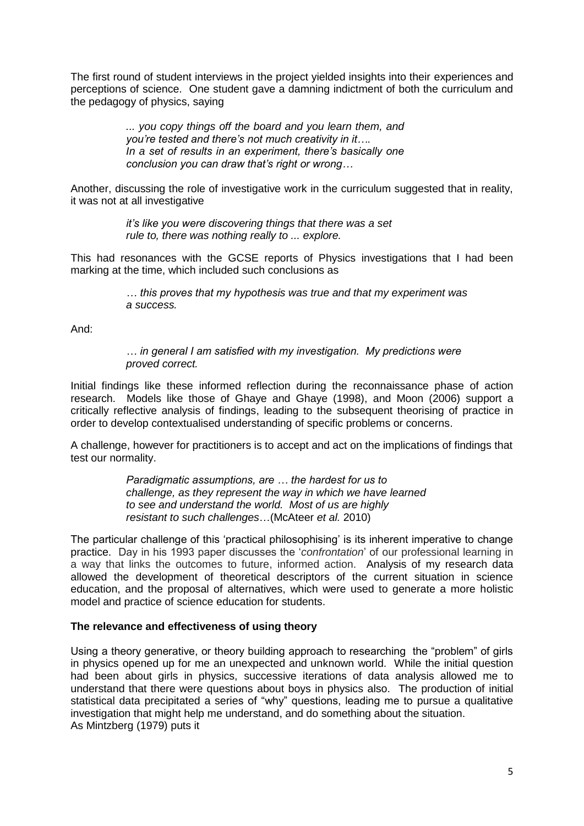The first round of student interviews in the project yielded insights into their experiences and perceptions of science. One student gave a damning indictment of both the curriculum and the pedagogy of physics, saying

> *... you copy things off the board and you learn them, and you're tested and there's not much creativity in it…. In a set of results in an experiment, there's basically one conclusion you can draw that's right or wrong…*

Another, discussing the role of investigative work in the curriculum suggested that in reality, it was not at all investigative

> *it's like you were discovering things that there was a set rule to, there was nothing really to ... explore.*

This had resonances with the GCSE reports of Physics investigations that I had been marking at the time, which included such conclusions as

> *… this proves that my hypothesis was true and that my experiment was a success.*

And:

*… in general I am satisfied with my investigation. My predictions were proved correct.*

Initial findings like these informed reflection during the reconnaissance phase of action research. Models like those of Ghaye and Ghaye (1998), and Moon (2006) support a critically reflective analysis of findings, leading to the subsequent theorising of practice in order to develop contextualised understanding of specific problems or concerns.

A challenge, however for practitioners is to accept and act on the implications of findings that test our normality.

> *Paradigmatic assumptions, are … the hardest for us to challenge, as they represent the way in which we have learned to see and understand the world. Most of us are highly resistant to such challenges*…(McAteer *et al.* 2010)

The particular challenge of this 'practical philosophising' is its inherent imperative to change practice. Day in his 1993 paper discusses the '*confrontation*' of our professional learning in a way that links the outcomes to future, informed action. Analysis of my research data allowed the development of theoretical descriptors of the current situation in science education, and the proposal of alternatives, which were used to generate a more holistic model and practice of science education for students.

#### **The relevance and effectiveness of using theory**

Using a theory generative, or theory building approach to researching the "problem" of girls in physics opened up for me an unexpected and unknown world. While the initial question had been about girls in physics, successive iterations of data analysis allowed me to understand that there were questions about boys in physics also. The production of initial statistical data precipitated a series of "why" questions, leading me to pursue a qualitative investigation that might help me understand, and do something about the situation. As Mintzberg (1979) puts it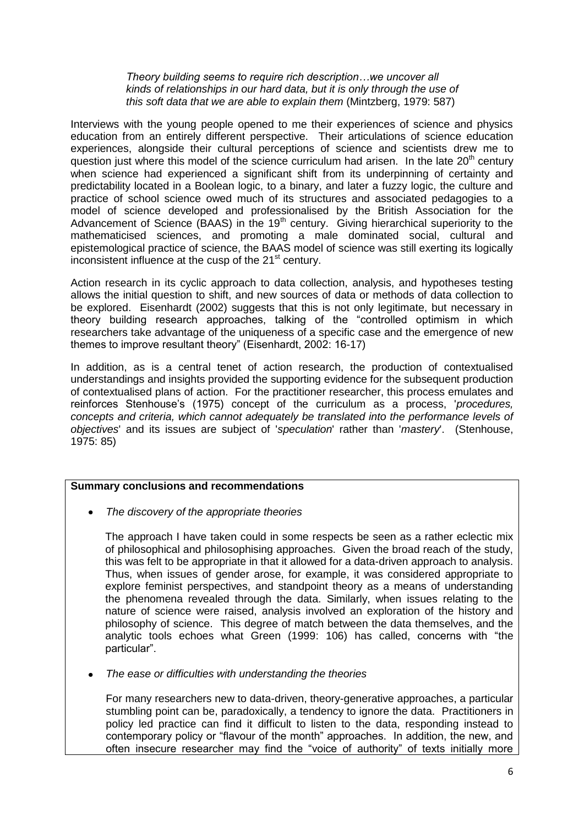*Theory building seems to require rich description…we uncover all kinds of relationships in our hard data, but it is only through the use of this soft data that we are able to explain them* (Mintzberg, 1979: 587)

Interviews with the young people opened to me their experiences of science and physics education from an entirely different perspective. Their articulations of science education experiences, alongside their cultural perceptions of science and scientists drew me to question just where this model of the science curriculum had arisen. In the late  $20<sup>th</sup>$  century when science had experienced a significant shift from its underpinning of certainty and predictability located in a Boolean logic, to a binary, and later a fuzzy logic, the culture and practice of school science owed much of its structures and associated pedagogies to a model of science developed and professionalised by the British Association for the Advancement of Science (BAAS) in the  $19<sup>th</sup>$  century. Giving hierarchical superiority to the mathematicised sciences, and promoting a male dominated social, cultural and epistemological practice of science, the BAAS model of science was still exerting its logically inconsistent influence at the cusp of the  $21<sup>st</sup>$  century.

Action research in its cyclic approach to data collection, analysis, and hypotheses testing allows the initial question to shift, and new sources of data or methods of data collection to be explored. Eisenhardt (2002) suggests that this is not only legitimate, but necessary in theory building research approaches, talking of the "controlled optimism in which researchers take advantage of the uniqueness of a specific case and the emergence of new themes to improve resultant theory" (Eisenhardt, 2002: 16-17)

In addition, as is a central tenet of action research, the production of contextualised understandings and insights provided the supporting evidence for the subsequent production of contextualised plans of action. For the practitioner researcher, this process emulates and reinforces Stenhouse's (1975) concept of the curriculum as a process, '*procedures, concepts and criteria, which cannot adequately be translated into the performance levels of objectives*' and its issues are subject of '*speculation*' rather than '*mastery*'. (Stenhouse, 1975: 85)

## **Summary conclusions and recommendations**

*The discovery of the appropriate theories*

The approach I have taken could in some respects be seen as a rather eclectic mix of philosophical and philosophising approaches. Given the broad reach of the study, this was felt to be appropriate in that it allowed for a data-driven approach to analysis. Thus, when issues of gender arose, for example, it was considered appropriate to explore feminist perspectives, and standpoint theory as a means of understanding the phenomena revealed through the data. Similarly, when issues relating to the nature of science were raised, analysis involved an exploration of the history and philosophy of science. This degree of match between the data themselves, and the analytic tools echoes what Green (1999: 106) has called, concerns with "the particular".

*The ease or difficulties with understanding the theories*

For many researchers new to data-driven, theory-generative approaches, a particular stumbling point can be, paradoxically, a tendency to ignore the data. Practitioners in policy led practice can find it difficult to listen to the data, responding instead to contemporary policy or "flavour of the month" approaches. In addition, the new, and often insecure researcher may find the "voice of authority" of texts initially more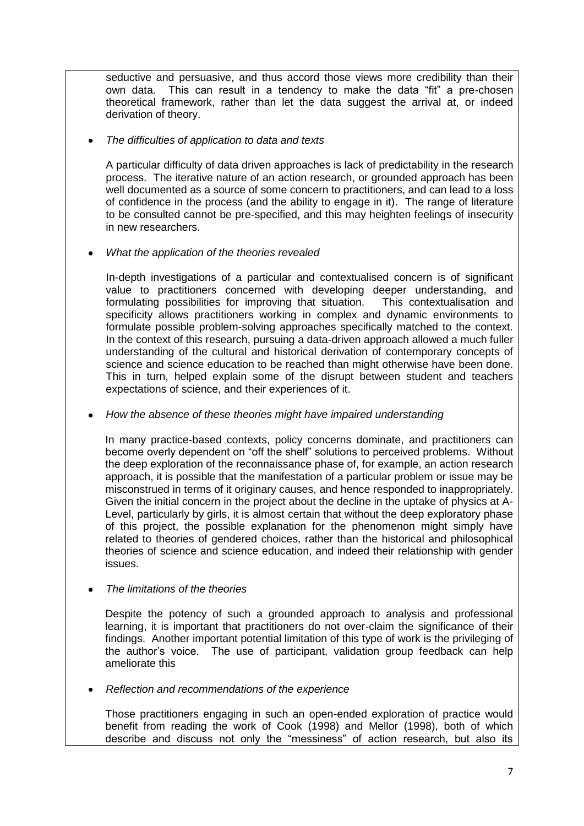seductive and persuasive, and thus accord those views more credibility than their own data. This can result in a tendency to make the data "fit" a pre-chosen theoretical framework, rather than let the data suggest the arrival at, or indeed derivation of theory.

# *The difficulties of application to data and texts*

A particular difficulty of data driven approaches is lack of predictability in the research process. The iterative nature of an action research, or grounded approach has been well documented as a source of some concern to practitioners, and can lead to a loss of confidence in the process (and the ability to engage in it). The range of literature to be consulted cannot be pre-specified, and this may heighten feelings of insecurity in new researchers.

# *What the application of the theories revealed*

In-depth investigations of a particular and contextualised concern is of significant value to practitioners concerned with developing deeper understanding, and formulating possibilities for improving that situation. This contextualisation and specificity allows practitioners working in complex and dynamic environments to formulate possible problem-solving approaches specifically matched to the context. In the context of this research, pursuing a data-driven approach allowed a much fuller understanding of the cultural and historical derivation of contemporary concepts of science and science education to be reached than might otherwise have been done. This in turn, helped explain some of the disrupt between student and teachers expectations of science, and their experiences of it.

## *How the absence of these theories might have impaired understanding*

In many practice-based contexts, policy concerns dominate, and practitioners can become overly dependent on "off the shelf" solutions to perceived problems. Without the deep exploration of the reconnaissance phase of, for example, an action research approach, it is possible that the manifestation of a particular problem or issue may be misconstrued in terms of it originary causes, and hence responded to inappropriately. Given the initial concern in the project about the decline in the uptake of physics at A-Level, particularly by girls, it is almost certain that without the deep exploratory phase of this project, the possible explanation for the phenomenon might simply have related to theories of gendered choices, rather than the historical and philosophical theories of science and science education, and indeed their relationship with gender issues.

## *The limitations of the theories*

Despite the potency of such a grounded approach to analysis and professional learning, it is important that practitioners do not over-claim the significance of their findings. Another important potential limitation of this type of work is the privileging of the author's voice. The use of participant, validation group feedback can help ameliorate this

*Reflection and recommendations of the experience*

Those practitioners engaging in such an open-ended exploration of practice would benefit from reading the work of Cook (1998) and Mellor (1998), both of which describe and discuss not only the "messiness" of action research, but also its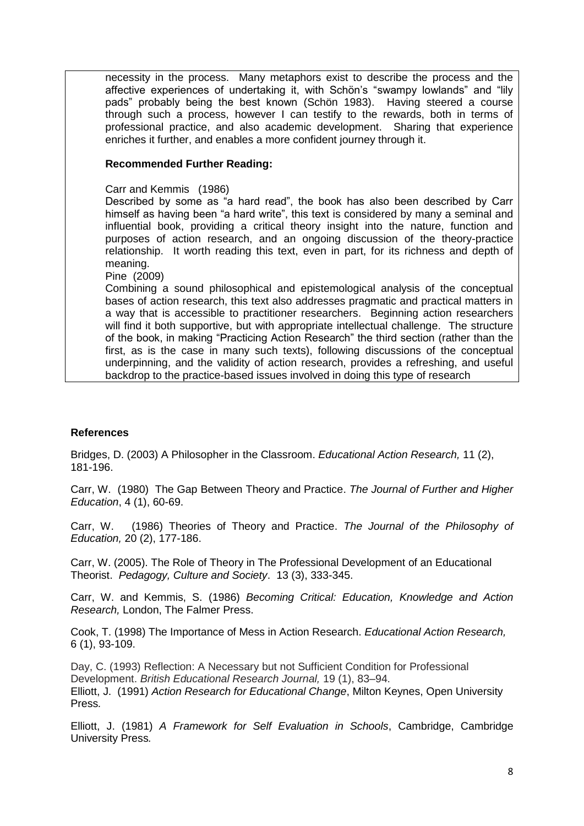necessity in the process. Many metaphors exist to describe the process and the affective experiences of undertaking it, with Schön's "swampy lowlands" and "lily pads" probably being the best known (Schön 1983). Having steered a course through such a process, however I can testify to the rewards, both in terms of professional practice, and also academic development. Sharing that experience enriches it further, and enables a more confident journey through it.

# **Recommended Further Reading:**

## Carr and Kemmis (1986)

Described by some as "a hard read", the book has also been described by Carr himself as having been "a hard write", this text is considered by many a seminal and influential book, providing a critical theory insight into the nature, function and purposes of action research, and an ongoing discussion of the theory-practice relationship. It worth reading this text, even in part, for its richness and depth of meaning.

## Pine (2009)

Combining a sound philosophical and epistemological analysis of the conceptual bases of action research, this text also addresses pragmatic and practical matters in a way that is accessible to practitioner researchers. Beginning action researchers will find it both supportive, but with appropriate intellectual challenge. The structure of the book, in making "Practicing Action Research" the third section (rather than the first, as is the case in many such texts), following discussions of the conceptual underpinning, and the validity of action research, provides a refreshing, and useful backdrop to the practice-based issues involved in doing this type of research

## **References**

Bridges, D. (2003) A Philosopher in the Classroom. *Educational Action Research,* 11 (2), 181-196.

Carr, W. (1980) The Gap Between Theory and Practice. *The Journal of Further and Higher Education*, 4 (1), 60-69.

Carr, W. (1986) Theories of Theory and Practice. *The Journal of the Philosophy of Education,* 20 (2), 177-186.

Carr, W. (2005). The Role of Theory in The Professional Development of an Educational Theorist. *Pedagogy, Culture and Society*. 13 (3), 333-345.

Carr, W. and Kemmis, S. (1986) *Becoming Critical: Education, Knowledge and Action Research,* London, The Falmer Press.

Cook, T. (1998) The Importance of Mess in Action Research. *Educational Action Research,*  6 (1), 93-109.

Day, C. (1993) Reflection: A Necessary but not Sufficient Condition for Professional Development. *British Educational Research Journal,* 19 (1), 83–94. Elliott, J. (1991) *Action Research for Educational Change*, Milton Keynes, Open University Press*.*

Elliott, J. (1981) *A Framework for Self Evaluation in Schools*, Cambridge, Cambridge University Press*.*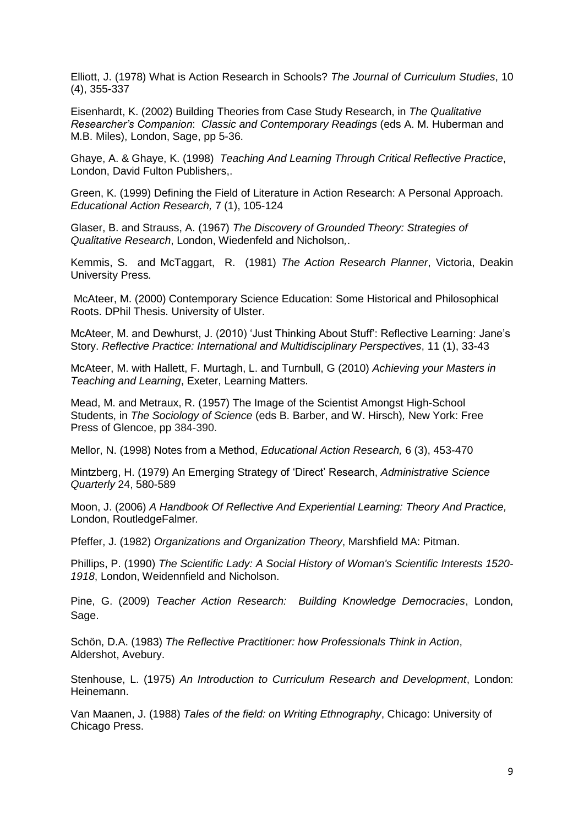Elliott, J. (1978) What is Action Research in Schools? *The Journal of Curriculum Studies*, 10 (4), 355-337

Eisenhardt, K. (2002) Building Theories from Case Study Research, in *The Qualitative Researcher's Companion*: *Classic and Contemporary Readings* (eds A. M. Huberman and M.B. Miles), London, Sage, pp 5-36.

Ghaye, A. & Ghaye, K. (1998) *Teaching And Learning Through Critical Reflective Practice*, London, David Fulton Publishers,.

Green, K. (1999) Defining the Field of Literature in Action Research: A Personal Approach. *Educational Action Research,* 7 (1), 105-124

Glaser, B. and Strauss, A. (1967) *The Discovery of Grounded Theory: Strategies of Qualitative Research*, London, Wiedenfeld and Nicholson*,*.

Kemmis, S. and McTaggart, R. (1981) *The Action Research Planner*, Victoria, Deakin University Press*.*

McAteer, M. (2000) Contemporary Science Education: Some Historical and Philosophical Roots. DPhil Thesis. University of Ulster.

McAteer, M. and Dewhurst, J. (2010) 'Just Thinking About Stuff': Reflective Learning: Jane's Story. *Reflective Practice: International and Multidisciplinary Perspectives*, 11 (1), 33-43

McAteer, M. with Hallett, F. Murtagh, L. and Turnbull, G (2010) *Achieving your Masters in Teaching and Learning*, Exeter, Learning Matters.

Mead, M. and Metraux, R. (1957) The Image of the Scientist Amongst High-School Students, in *The Sociology of Science* (eds B. Barber, and W. Hirsch)*,* New York: Free Press of Glencoe, pp 384-390.

Mellor, N. (1998) Notes from a Method, *Educational Action Research,* 6 (3), 453-470

Mintzberg, H. (1979) An Emerging Strategy of 'Direct' Research, *Administrative Science Quarterly* 24, 580-589

Moon, J. (2006) *A Handbook Of Reflective And Experiential Learning: Theory And Practice,*  London, RoutledgeFalmer*.*

Pfeffer, J. (1982) *Organizations and Organization Theory*, Marshfield MA: Pitman.

Phillips, P. (1990) *The Scientific Lady: A Social History of Woman's Scientific Interests 1520- 1918*, London, Weidennfield and Nicholson.

Pine, G. (2009) *Teacher Action Research: Building Knowledge Democracies*, London, Sage.

Schön, D.A. (1983) *The Reflective Practitioner: how Professionals Think in Action*, Aldershot, Avebury.

Stenhouse, L. (1975) *An Introduction to Curriculum Research and Development*, London: Heinemann.

Van Maanen, J. (1988) *Tales of the field: on Writing Ethnography*, Chicago: University of Chicago Press.